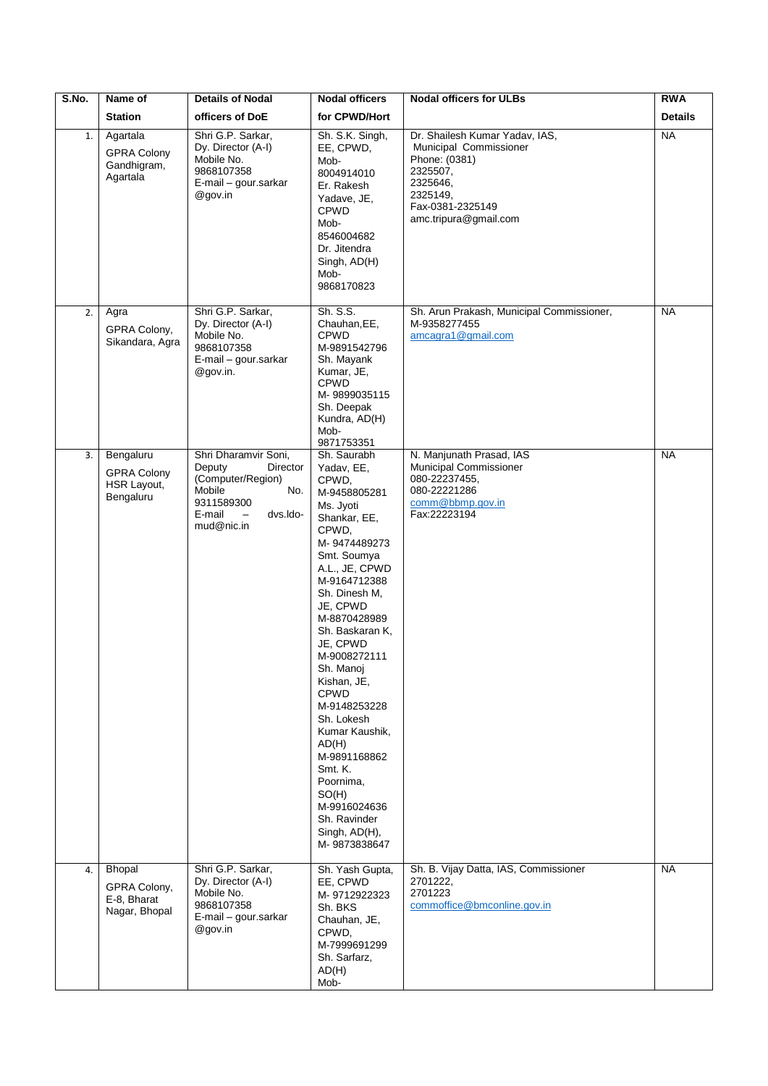| S.No. | Name of                                                     | <b>Details of Nodal</b>                                                                                                                                        | <b>Nodal officers</b>                                                                                                                                                                                                                                                                                                                                                                                                                                                       | <b>Nodal officers for ULBs</b>                                                                                                                             | <b>RWA</b>     |
|-------|-------------------------------------------------------------|----------------------------------------------------------------------------------------------------------------------------------------------------------------|-----------------------------------------------------------------------------------------------------------------------------------------------------------------------------------------------------------------------------------------------------------------------------------------------------------------------------------------------------------------------------------------------------------------------------------------------------------------------------|------------------------------------------------------------------------------------------------------------------------------------------------------------|----------------|
|       | <b>Station</b>                                              | officers of DoE                                                                                                                                                | for CPWD/Hort                                                                                                                                                                                                                                                                                                                                                                                                                                                               |                                                                                                                                                            | <b>Details</b> |
| 1.    | Agartala<br><b>GPRA Colony</b><br>Gandhigram,<br>Agartala   | Shri G.P. Sarkar,<br>Dy. Director (A-I)<br>Mobile No.<br>9868107358<br>E-mail - gour.sarkar<br>@gov.in                                                         | Sh. S.K. Singh,<br>EE, CPWD,<br>Mob-<br>8004914010<br>Er. Rakesh<br>Yadave, JE,<br><b>CPWD</b><br>Mob-<br>8546004682<br>Dr. Jitendra<br>Singh, AD(H)<br>Mob-<br>9868170823                                                                                                                                                                                                                                                                                                  | Dr. Shailesh Kumar Yadav, IAS,<br>Municipal Commissioner<br>Phone: (0381)<br>2325507,<br>2325646,<br>2325149,<br>Fax-0381-2325149<br>amc.tripura@gmail.com | <b>NA</b>      |
| 2.    | Agra<br>GPRA Colony,<br>Sikandara, Agra                     | Shri G.P. Sarkar,<br>Dy. Director (A-I)<br>Mobile No.<br>9868107358<br>E-mail - gour.sarkar<br>@gov.in.                                                        | Sh. S.S.<br>Chauhan, EE,<br><b>CPWD</b><br>M-9891542796<br>Sh. Mayank<br>Kumar, JE,<br><b>CPWD</b><br>M-9899035115<br>Sh. Deepak<br>Kundra, AD(H)<br>Mob-<br>9871753351                                                                                                                                                                                                                                                                                                     | Sh. Arun Prakash, Municipal Commissioner,<br>M-9358277455<br>amcagra1@gmail.com                                                                            | <b>NA</b>      |
| 3.    | Bengaluru<br><b>GPRA Colony</b><br>HSR Layout,<br>Bengaluru | Shri Dharamvir Soni,<br>Deputy<br>Director<br>(Computer/Region)<br>No.<br>Mobile<br>9311589300<br>E-mail<br>$\overline{\phantom{0}}$<br>dvs.ldo-<br>mud@nic.in | Sh. Saurabh<br>Yadav, EE,<br>CPWD,<br>M-9458805281<br>Ms. Jyoti<br>Shankar, EE,<br>CPWD,<br>M-9474489273<br>Smt. Soumya<br>A.L., JE, CPWD<br>M-9164712388<br>Sh. Dinesh M,<br>JE, CPWD<br>M-8870428989<br>Sh. Baskaran K,<br>JE, CPWD<br>M-9008272111<br>Sh. Manoj<br>Kishan, JE,<br><b>CPWD</b><br>M-9148253228<br>Sh. Lokesh<br>Kumar Kaushik,<br>AD(H)<br>M-9891168862<br>Smt. K.<br>Poornima,<br>SO(H)<br>M-9916024636<br>Sh. Ravinder<br>Singh, AD(H),<br>M-9873838647 | N. Manjunath Prasad, IAS<br>Municipal Commissioner<br>080-22237455,<br>080-22221286<br>comm@bbmp.gov.in<br>Fax:22223194                                    | <b>NA</b>      |
| 4.    | Bhopal<br>GPRA Colony,<br>E-8, Bharat<br>Nagar, Bhopal      | Shri G.P. Sarkar,<br>Dy. Director (A-I)<br>Mobile No.<br>9868107358<br>E-mail - gour.sarkar<br>@gov.in                                                         | Sh. Yash Gupta,<br>EE, CPWD<br>M-9712922323<br>Sh. BKS<br>Chauhan, JE,<br>CPWD,<br>M-7999691299<br>Sh. Sarfarz,<br>AD(H)<br>Mob-                                                                                                                                                                                                                                                                                                                                            | Sh. B. Vijay Datta, IAS, Commissioner<br>2701222,<br>2701223<br>commoffice@bmconline.gov.in                                                                | <b>NA</b>      |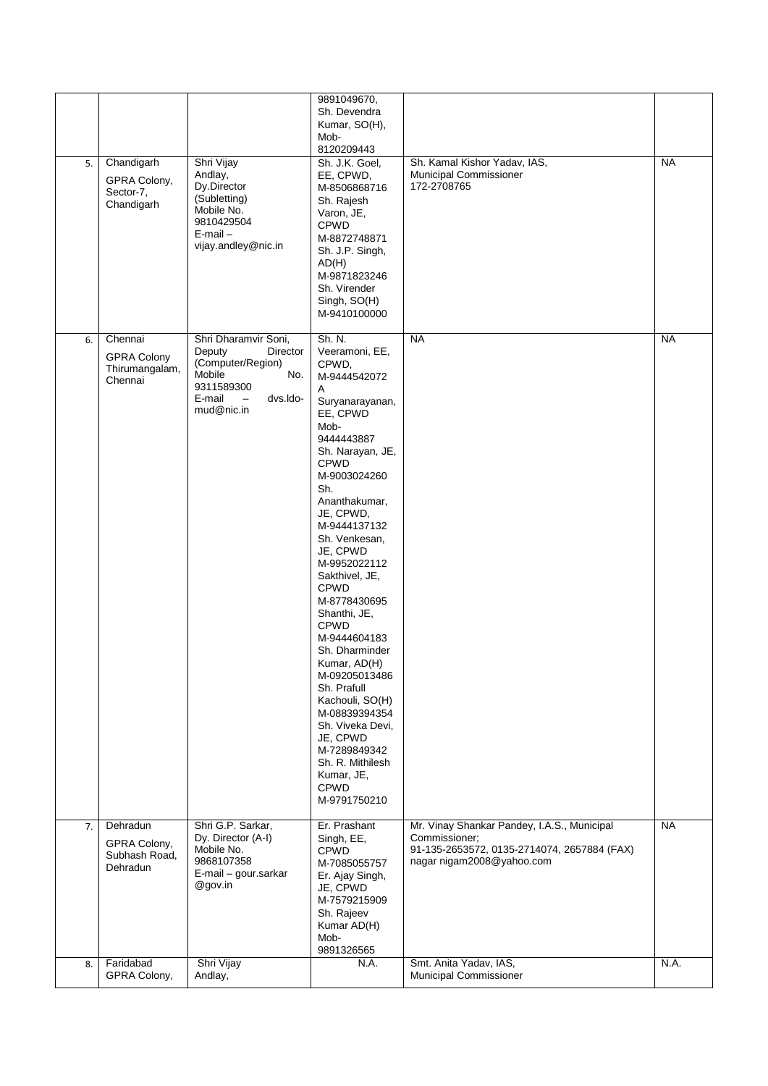| 5. | Chandigarh<br>GPRA Colony,<br>Sector-7,<br>Chandigarh      | Shri Vijay<br>Andlay,<br>Dy.Director<br>(Subletting)<br>Mobile No.<br>9810429504<br>$E$ -mail $-$<br>vijay.andley@nic.in                                       | 9891049670,<br>Sh. Devendra<br>Kumar, SO(H),<br>Mob-<br>8120209443<br>Sh. J.K. Goel,<br>EE, CPWD,<br>M-8506868716<br>Sh. Rajesh<br>Varon, JE,<br><b>CPWD</b><br>M-8872748871<br>Sh. J.P. Singh,<br>AD(H)<br>M-9871823246<br>Sh. Virender<br>Singh, SO(H)<br>M-9410100000                                                                                                                                                                                                                                                                                                         | Sh. Kamal Kishor Yadav, IAS,<br>Municipal Commissioner<br>172-2708765                                                                    | <b>NA</b> |
|----|------------------------------------------------------------|----------------------------------------------------------------------------------------------------------------------------------------------------------------|----------------------------------------------------------------------------------------------------------------------------------------------------------------------------------------------------------------------------------------------------------------------------------------------------------------------------------------------------------------------------------------------------------------------------------------------------------------------------------------------------------------------------------------------------------------------------------|------------------------------------------------------------------------------------------------------------------------------------------|-----------|
| 6. | Chennai<br><b>GPRA Colony</b><br>Thirumangalam,<br>Chennai | Shri Dharamvir Soni,<br>Deputy<br>Director<br>(Computer/Region)<br>Mobile<br>No.<br>9311589300<br>E-mail<br>dvs.ldo-<br>$\overline{\phantom{0}}$<br>mud@nic.in | Sh. N.<br>Veeramoni, EE,<br>CPWD,<br>M-9444542072<br>A<br>Suryanarayanan,<br>EE, CPWD<br>Mob-<br>9444443887<br>Sh. Narayan, JE,<br><b>CPWD</b><br>M-9003024260<br>Sh.<br>Ananthakumar,<br>JE, CPWD,<br>M-9444137132<br>Sh. Venkesan,<br>JE, CPWD<br>M-9952022112<br>Sakthivel, JE,<br><b>CPWD</b><br>M-8778430695<br>Shanthi, JE,<br>CPWD<br>M-9444604183<br>Sh. Dharminder<br>Kumar, AD(H)<br>M-09205013486<br>Sh. Prafull<br>Kachouli, SO(H)<br>M-08839394354<br>Sh. Viveka Devi,<br>JE, CPWD<br>M-7289849342<br>Sh. R. Mithilesh<br>Kumar, JE,<br><b>CPWD</b><br>M-9791750210 | <b>NA</b>                                                                                                                                | <b>NA</b> |
| 7. | Dehradun<br>GPRA Colony,<br>Subhash Road,<br>Dehradun      | Shri G.P. Sarkar,<br>Dy. Director (A-I)<br>Mobile No.<br>9868107358<br>E-mail - gour.sarkar<br>@gov.in                                                         | Er. Prashant<br>Singh, EE,<br><b>CPWD</b><br>M-7085055757<br>Er. Ajay Singh,<br>JE, CPWD<br>M-7579215909<br>Sh. Rajeev<br>Kumar AD(H)<br>Mob-<br>9891326565                                                                                                                                                                                                                                                                                                                                                                                                                      | Mr. Vinay Shankar Pandey, I.A.S., Municipal<br>Commissioner;<br>91-135-2653572, 0135-2714074, 2657884 (FAX)<br>nagar nigam2008@yahoo.com | <b>NA</b> |
| 8. | Faridabad<br>GPRA Colony,                                  | Shri Vijay<br>Andlay,                                                                                                                                          | N.A.                                                                                                                                                                                                                                                                                                                                                                                                                                                                                                                                                                             | Smt. Anita Yadav, IAS,<br>Municipal Commissioner                                                                                         | N.A.      |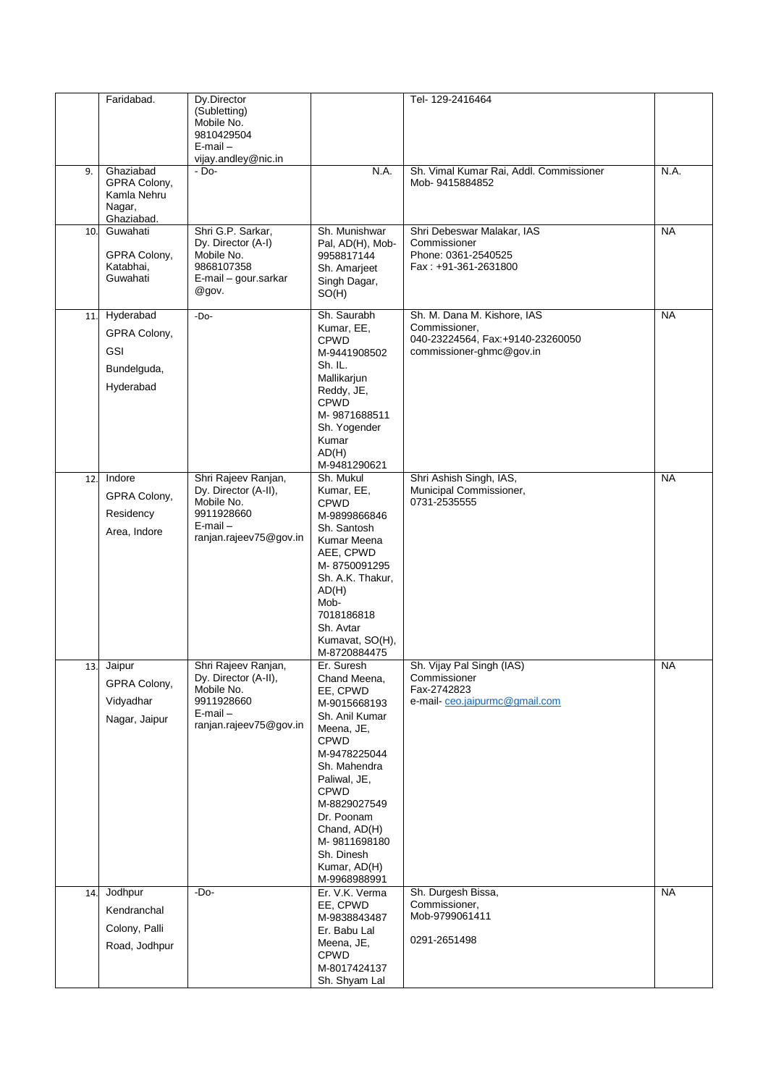|     | Faridabad.                                                          | Dy.Director                                                                                                        |                                                                                                                                                                                                                                                                                  | Tel-129-2416464                                                                                              |           |
|-----|---------------------------------------------------------------------|--------------------------------------------------------------------------------------------------------------------|----------------------------------------------------------------------------------------------------------------------------------------------------------------------------------------------------------------------------------------------------------------------------------|--------------------------------------------------------------------------------------------------------------|-----------|
|     |                                                                     | (Subletting)<br>Mobile No.<br>9810429504<br>$E$ -mail $-$                                                          |                                                                                                                                                                                                                                                                                  |                                                                                                              |           |
|     |                                                                     | vijay.andley@nic.in                                                                                                |                                                                                                                                                                                                                                                                                  |                                                                                                              |           |
| 9.  | Ghaziabad<br>GPRA Colony,<br>Kamla Nehru<br>Nagar,<br>Ghaziabad.    | $-$ Do-                                                                                                            | N.A.                                                                                                                                                                                                                                                                             | Sh. Vimal Kumar Rai, Addl. Commissioner<br>Mob-9415884852                                                    | N.A.      |
| 10. | Guwahati<br>GPRA Colony,<br>Katabhai,<br>Guwahati                   | Shri G.P. Sarkar,<br>Dy. Director (A-I)<br>Mobile No.<br>9868107358<br>E-mail - gour.sarkar<br>@gov.               | Sh. Munishwar<br>Pal, AD(H), Mob-<br>9958817144<br>Sh. Amarjeet<br>Singh Dagar,<br>SO(H)                                                                                                                                                                                         | Shri Debeswar Malakar, IAS<br>Commissioner<br>Phone: 0361-2540525<br>Fax: +91-361-2631800                    | <b>NA</b> |
| 11. | Hyderabad<br>GPRA Colony,<br><b>GSI</b><br>Bundelguda,<br>Hyderabad | $-Do-$                                                                                                             | Sh. Saurabh<br>Kumar, EE,<br><b>CPWD</b><br>M-9441908502<br>Sh. IL.<br>Mallikarjun<br>Reddy, JE,<br><b>CPWD</b><br>M-9871688511<br>Sh. Yogender<br>Kumar<br>AD(H)<br>M-9481290621                                                                                                | Sh. M. Dana M. Kishore, IAS<br>Commissioner,<br>040-23224564, Fax:+9140-23260050<br>commissioner-ghmc@gov.in | <b>NA</b> |
| 12  | Indore<br>GPRA Colony,<br>Residency<br>Area, Indore                 | Shri Rajeev Ranjan,<br>Dy. Director (A-II),<br>Mobile No.<br>9911928660<br>$E$ -mail $-$<br>ranjan.rajeev75@gov.in | Sh. Mukul<br>Kumar, EE,<br><b>CPWD</b><br>M-9899866846<br>Sh. Santosh<br>Kumar Meena<br>AEE, CPWD<br>M-8750091295<br>Sh. A.K. Thakur,<br>AD(H)<br>Mob-<br>7018186818<br>Sh. Avtar<br>Kumavat, SO(H),<br>M-8720884475                                                             | Shri Ashish Singh, IAS,<br>Municipal Commissioner,<br>0731-2535555                                           | <b>NA</b> |
| 13. | Jaipur<br>GPRA Colony,<br>Vidyadhar<br>Nagar, Jaipur                | Shri Rajeev Ranjan,<br>Dy. Director (A-II),<br>Mobile No.<br>9911928660<br>$E$ -mail $-$<br>ranjan.rajeev75@gov.in | Er. Suresh<br>Chand Meena,<br>EE, CPWD<br>M-9015668193<br>Sh. Anil Kumar<br>Meena, JE,<br><b>CPWD</b><br>M-9478225044<br>Sh. Mahendra<br>Paliwal, JE,<br><b>CPWD</b><br>M-8829027549<br>Dr. Poonam<br>Chand, AD(H)<br>M-9811698180<br>Sh. Dinesh<br>Kumar, AD(H)<br>M-9968988991 | Sh. Vijay Pal Singh (IAS)<br>Commissioner<br>Fax-2742823<br>e-mail-ceo.jaipurmc@gmail.com                    | <b>NA</b> |
| 14. | Jodhpur<br>Kendranchal<br>Colony, Palli<br>Road, Jodhpur            | $-Do-$                                                                                                             | Er. V.K. Verma<br>EE, CPWD<br>M-9838843487<br>Er. Babu Lal<br>Meena, JE,<br><b>CPWD</b><br>M-8017424137<br>Sh. Shyam Lal                                                                                                                                                         | Sh. Durgesh Bissa,<br>Commissioner,<br>Mob-9799061411<br>0291-2651498                                        | <b>NA</b> |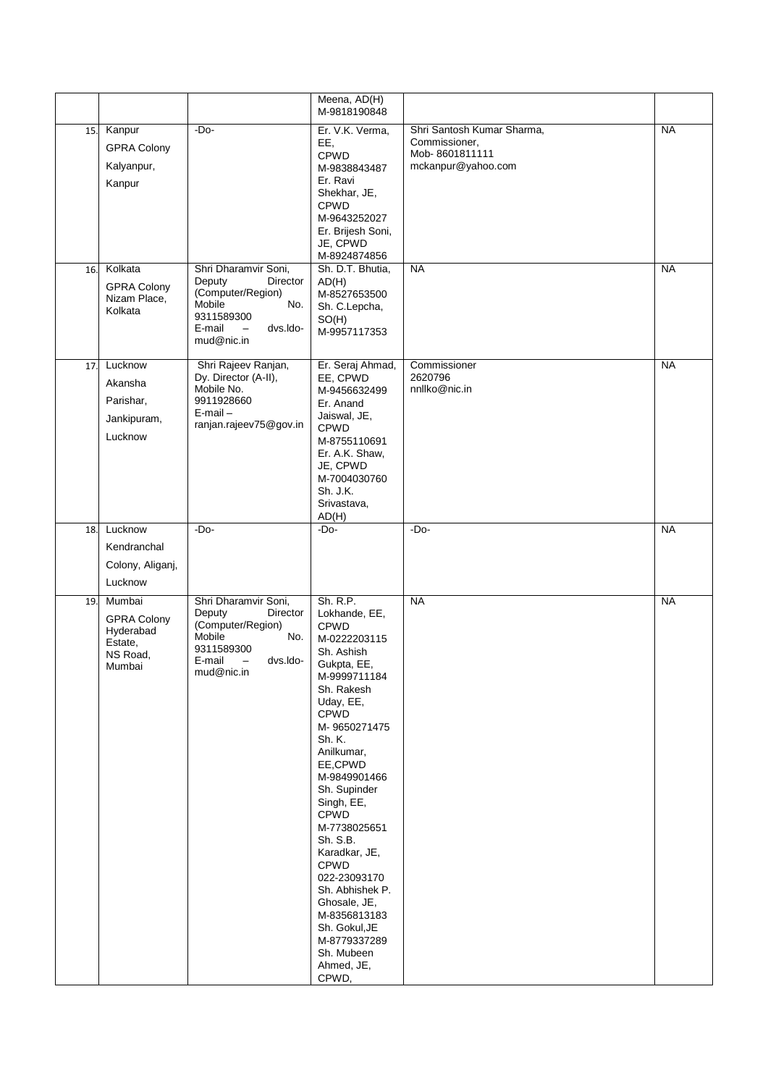|     |                                                                            |                                                                                                                                                                       | Meena, AD(H)<br>M-9818190848                                                                                                                                                                                                                                                                                                                                                                                                                                         |                                                                                     |           |
|-----|----------------------------------------------------------------------------|-----------------------------------------------------------------------------------------------------------------------------------------------------------------------|----------------------------------------------------------------------------------------------------------------------------------------------------------------------------------------------------------------------------------------------------------------------------------------------------------------------------------------------------------------------------------------------------------------------------------------------------------------------|-------------------------------------------------------------------------------------|-----------|
| 15. | Kanpur<br><b>GPRA Colony</b><br>Kalyanpur,<br>Kanpur                       | $-Do-$                                                                                                                                                                | Er. V.K. Verma.<br>EE,<br>CPWD<br>M-9838843487<br>Er. Ravi<br>Shekhar, JE,<br><b>CPWD</b><br>M-9643252027<br>Er. Brijesh Soni,<br>JE, CPWD<br>M-8924874856                                                                                                                                                                                                                                                                                                           | Shri Santosh Kumar Sharma,<br>Commissioner,<br>Mob-8601811111<br>mckanpur@yahoo.com | <b>NA</b> |
| 16. | Kolkata<br><b>GPRA Colony</b><br>Nizam Place,<br>Kolkata                   | Shri Dharamvir Soni,<br>Deputy<br>Director<br>(Computer/Region)<br>Mobile<br>No.<br>9311589300<br>E-mail<br>dvs.ldo-<br>$\hspace{0.1mm}-\hspace{0.1mm}$<br>mud@nic.in | Sh. D.T. Bhutia,<br>AD(H)<br>M-8527653500<br>Sh. C.Lepcha,<br>SO(H)<br>M-9957117353                                                                                                                                                                                                                                                                                                                                                                                  | <b>NA</b>                                                                           | <b>NA</b> |
| 17. | Lucknow<br>Akansha<br>Parishar,<br>Jankipuram,<br>Lucknow                  | Shri Rajeev Ranjan,<br>Dy. Director (A-II),<br>Mobile No.<br>9911928660<br>$E$ -mail $-$<br>ranjan.rajeev75@gov.in                                                    | Er. Seraj Ahmad,<br>EE, CPWD<br>M-9456632499<br>Er. Anand<br>Jaiswal, JE,<br><b>CPWD</b><br>M-8755110691<br>Er. A.K. Shaw,<br>JE, CPWD<br>M-7004030760<br>Sh. J.K.<br>Srivastava,<br>AD(H)                                                                                                                                                                                                                                                                           | Commissioner<br>2620796<br>nnllko@nic.in                                            | NA        |
| 18. | Lucknow<br>Kendranchal<br>Colony, Aliganj,<br>Lucknow                      | $-Do-$                                                                                                                                                                | $-Do-$                                                                                                                                                                                                                                                                                                                                                                                                                                                               | $-Do-$                                                                              | <b>NA</b> |
| 19. | Mumbai<br><b>GPRA Colony</b><br>Hyderabad<br>Estate,<br>NS Road,<br>Mumbai | Shri Dharamvir Soni,<br>Director<br>Deputy<br>(Computer/Region)<br>Mobile<br>No.<br>9311589300<br>dvs.ldo-<br>E-mail<br>$\overline{\phantom{m}}$<br>mud@nic.in        | Sh. R.P.<br>Lokhande, EE,<br><b>CPWD</b><br>M-0222203115<br>Sh. Ashish<br>Gukpta, EE,<br>M-9999711184<br>Sh. Rakesh<br>Uday, EE,<br><b>CPWD</b><br>M-9650271475<br>Sh. K.<br>Anilkumar,<br>EE,CPWD<br>M-9849901466<br>Sh. Supinder<br>Singh, EE,<br><b>CPWD</b><br>M-7738025651<br>Sh. S.B.<br>Karadkar, JE,<br><b>CPWD</b><br>022-23093170<br>Sh. Abhishek P.<br>Ghosale, JE,<br>M-8356813183<br>Sh. Gokul, JE<br>M-8779337289<br>Sh. Mubeen<br>Ahmed, JE,<br>CPWD, | <b>NA</b>                                                                           | <b>NA</b> |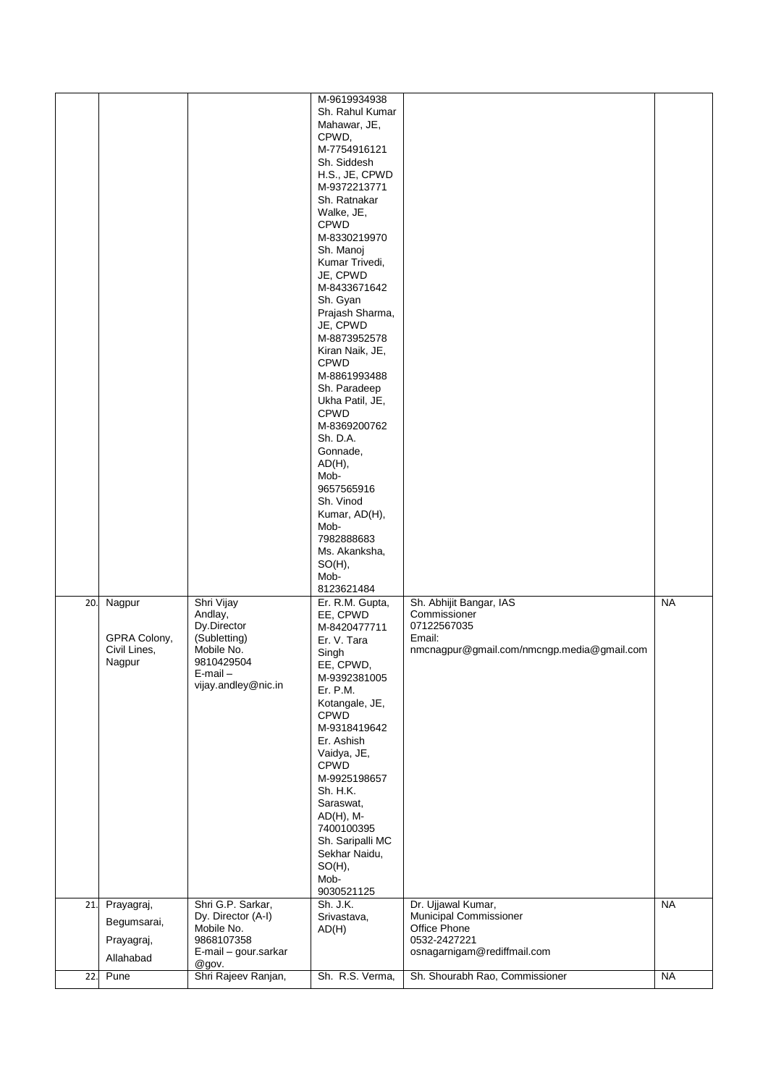|     |                                                  |                                                                                                                          | M-9619934938<br>Sh. Rahul Kumar<br>Mahawar, JE,<br>CPWD,<br>M-7754916121<br>Sh. Siddesh<br>H.S., JE, CPWD<br>M-9372213771<br>Sh. Ratnakar<br>Walke, JE,<br><b>CPWD</b><br>M-8330219970<br>Sh. Manoj<br>Kumar Trivedi,<br>JE, CPWD<br>M-8433671642<br>Sh. Gyan<br>Prajash Sharma,<br>JE, CPWD<br>M-8873952578<br>Kiran Naik, JE,<br><b>CPWD</b><br>M-8861993488<br>Sh. Paradeep<br>Ukha Patil, JE,<br><b>CPWD</b><br>M-8369200762<br>Sh. D.A.<br>Gonnade,<br>AD(H),<br>Mob-<br>9657565916<br>Sh. Vinod<br>Kumar, AD(H),<br>Mob-<br>7982888683<br>Ms. Akanksha,<br>$SO(H)$ ,<br>Mob- |                                                                                                                |           |
|-----|--------------------------------------------------|--------------------------------------------------------------------------------------------------------------------------|------------------------------------------------------------------------------------------------------------------------------------------------------------------------------------------------------------------------------------------------------------------------------------------------------------------------------------------------------------------------------------------------------------------------------------------------------------------------------------------------------------------------------------------------------------------------------------|----------------------------------------------------------------------------------------------------------------|-----------|
| 20. | Nagpur<br>GPRA Colony,<br>Civil Lines,<br>Nagpur | Shri Vijay<br>Andlay,<br>Dy.Director<br>(Subletting)<br>Mobile No.<br>9810429504<br>$E$ -mail $-$<br>vijay.andley@nic.in | 8123621484<br>Er. R.M. Gupta,<br>EE, CPWD<br>M-8420477711<br>Er. V. Tara<br>Singh<br>EE, CPWD,<br>M-9392381005<br>Er. P.M.<br>Kotangale, JE,<br><b>CPWD</b><br>M-9318419642<br>Er. Ashish<br>Vaidya, JE,<br>CPWD<br>M-9925198657<br>Sh. H.K.<br>Saraswat,<br>$AD(H)$ , M-<br>7400100395<br>Sh. Saripalli MC<br>Sekhar Naidu,<br>$SO(H)$ ,<br>Mob-<br>9030521125                                                                                                                                                                                                                    | Sh. Abhijit Bangar, IAS<br>Commissioner<br>07122567035<br>Email:<br>nmcnagpur@gmail.com/nmcngp.media@gmail.com | <b>NA</b> |
| 21. | Prayagraj,                                       | Shri G.P. Sarkar,<br>Dy. Director (A-I)                                                                                  | Sh. J.K.<br>Srivastava,                                                                                                                                                                                                                                                                                                                                                                                                                                                                                                                                                            | Dr. Ujjawal Kumar,<br>Municipal Commissioner                                                                   | <b>NA</b> |
|     | Begumsarai,                                      | Mobile No.                                                                                                               | AD(H)                                                                                                                                                                                                                                                                                                                                                                                                                                                                                                                                                                              | Office Phone                                                                                                   |           |
|     | Prayagraj,                                       | 9868107358<br>E-mail - gour.sarkar                                                                                       |                                                                                                                                                                                                                                                                                                                                                                                                                                                                                                                                                                                    | 0532-2427221<br>osnagarnigam@rediffmail.com                                                                    |           |
| 22. | Allahabad<br>Pune                                | @gov.<br>Shri Rajeev Ranjan,                                                                                             | Sh. R.S. Verma,                                                                                                                                                                                                                                                                                                                                                                                                                                                                                                                                                                    | Sh. Shourabh Rao, Commissioner                                                                                 | <b>NA</b> |
|     |                                                  |                                                                                                                          |                                                                                                                                                                                                                                                                                                                                                                                                                                                                                                                                                                                    |                                                                                                                |           |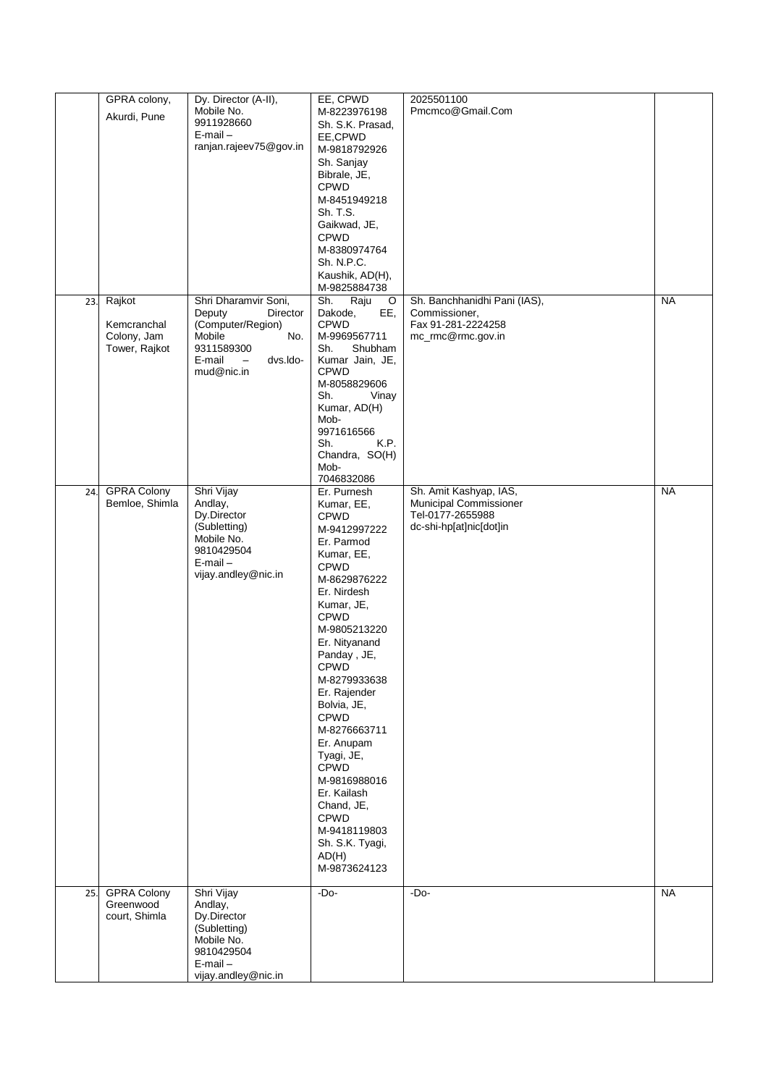|     | GPRA colony,                 | Dy. Director (A-II),                           | EE, CPWD                       | 2025501100                   |           |
|-----|------------------------------|------------------------------------------------|--------------------------------|------------------------------|-----------|
|     | Akurdi, Pune                 | Mobile No.                                     | M-8223976198                   | Pmcmco@Gmail.Com             |           |
|     |                              | 9911928660<br>$E$ -mail $-$                    | Sh. S.K. Prasad,               |                              |           |
|     |                              | ranjan.rajeev75@gov.in                         | EE,CPWD<br>M-9818792926        |                              |           |
|     |                              |                                                | Sh. Sanjay                     |                              |           |
|     |                              |                                                | Bibrale, JE,                   |                              |           |
|     |                              |                                                | <b>CPWD</b>                    |                              |           |
|     |                              |                                                | M-8451949218                   |                              |           |
|     |                              |                                                | Sh. T.S.                       |                              |           |
|     |                              |                                                | Gaikwad, JE,                   |                              |           |
|     |                              |                                                | <b>CPWD</b>                    |                              |           |
|     |                              |                                                | M-8380974764<br>Sh. N.P.C.     |                              |           |
|     |                              |                                                | Kaushik, AD(H),                |                              |           |
|     |                              |                                                | M-9825884738                   |                              |           |
| 23. | Rajkot                       | Shri Dharamvir Soni,                           | Sh.<br>Raju<br>O               | Sh. Banchhanidhi Pani (IAS), | <b>NA</b> |
|     |                              | Deputy<br>Director                             | Dakode,<br>EE,                 | Commissioner,                |           |
|     | Kemcranchal                  | (Computer/Region)                              | <b>CPWD</b>                    | Fax 91-281-2224258           |           |
|     | Colony, Jam<br>Tower, Rajkot | No.<br>Mobile<br>9311589300                    | M-9969567711<br>Sh.<br>Shubham | mc_rmc@rmc.gov.in            |           |
|     |                              | E-mail<br>dvs.ldo-<br>$\overline{\phantom{m}}$ | Kumar Jain, JE,                |                              |           |
|     |                              | mud@nic.in                                     | <b>CPWD</b>                    |                              |           |
|     |                              |                                                | M-8058829606                   |                              |           |
|     |                              |                                                | Sh.<br>Vinay                   |                              |           |
|     |                              |                                                | Kumar, AD(H)<br>Mob-           |                              |           |
|     |                              |                                                | 9971616566                     |                              |           |
|     |                              |                                                | K.P.<br>Sh.                    |                              |           |
|     |                              |                                                | Chandra, SO(H)                 |                              |           |
|     |                              |                                                | Mob-<br>7046832086             |                              |           |
| 24. | <b>GPRA Colony</b>           | Shri Vijay                                     | Er. Purnesh                    | Sh. Amit Kashyap, IAS,       | <b>NA</b> |
|     | Bemloe, Shimla               | Andlay,                                        | Kumar, EE,                     | Municipal Commissioner       |           |
|     |                              | Dy.Director                                    | <b>CPWD</b>                    | Tel-0177-2655988             |           |
|     |                              | (Subletting)                                   | M-9412997222                   | dc-shi-hp[at]nic[dot]in      |           |
|     |                              | Mobile No.<br>9810429504                       | Er. Parmod                     |                              |           |
|     |                              | $E$ -mail $-$                                  | Kumar, EE,<br><b>CPWD</b>      |                              |           |
|     |                              | vijay.andley@nic.in                            | M-8629876222                   |                              |           |
|     |                              |                                                | Er. Nirdesh                    |                              |           |
|     |                              |                                                | Kumar, JE,                     |                              |           |
|     |                              |                                                | <b>CPWD</b>                    |                              |           |
|     |                              |                                                | M-9805213220                   |                              |           |
|     |                              |                                                | Er. Nityanand                  |                              |           |
|     |                              |                                                | Panday, JE,                    |                              |           |
|     |                              |                                                | CPWD<br>M-8279933638           |                              |           |
|     |                              |                                                | Er. Rajender                   |                              |           |
|     |                              |                                                | Bolvia, JE,                    |                              |           |
|     |                              |                                                | CPWD                           |                              |           |
|     |                              |                                                | M-8276663711                   |                              |           |
|     |                              |                                                | Er. Anupam                     |                              |           |
|     |                              |                                                | Tyagi, JE,                     |                              |           |
|     |                              |                                                | CPWD<br>M-9816988016           |                              |           |
|     |                              |                                                | Er. Kailash                    |                              |           |
|     |                              |                                                | Chand, JE,                     |                              |           |
|     |                              |                                                | CPWD                           |                              |           |
|     |                              |                                                | M-9418119803                   |                              |           |
|     |                              |                                                | Sh. S.K. Tyagi,                |                              |           |
|     |                              |                                                | AD(H)<br>M-9873624123          |                              |           |
|     |                              |                                                |                                |                              |           |
| 25. | <b>GPRA Colony</b>           | Shri Vijay                                     | $-Do-$                         | $-Do-$                       | <b>NA</b> |
|     | Greenwood                    | Andlay,                                        |                                |                              |           |
|     | court, Shimla                | Dy.Director<br>(Subletting)                    |                                |                              |           |
|     |                              | Mobile No.                                     |                                |                              |           |
|     |                              | 9810429504                                     |                                |                              |           |
|     |                              | $E$ -mail $-$                                  |                                |                              |           |
|     |                              | vijay.andley@nic.in                            |                                |                              |           |